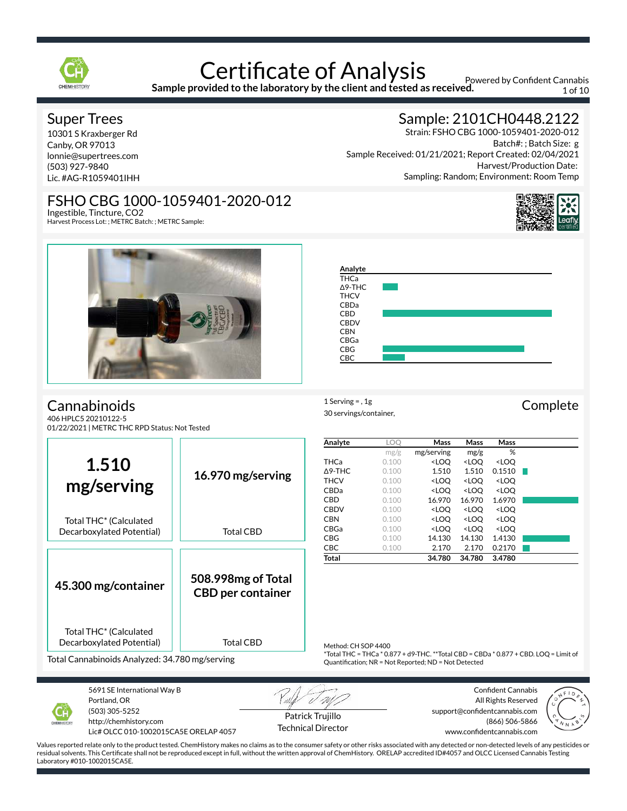

**Sample provided to the laboratory by the client and tested as received.**

Powered by Confident Cannabis 1 of 10

### Super Trees

10301 S Kraxberger Rd Canby, OR 97013 lonnie@supertrees.com (503) 927-9840 Lic. #AG-R1059401IHH

# FSHO CBG 1000-1059401-2020-012

Ingestible, Tincture, CO2 Harvest Process Lot: ; METRC Batch: ; METRC Sample:



n r

**Cannabinoids** 406 HPLC5 20210122-5

01/22/2021 | METRC THC RPD Status: Not Tested



 $1$  Serving = , 1g Complete 30 servings/container,

|                                                                 |                                                | Analyte             | LOO                                                  | Mass                                                                                 | Mass                                                     | Mass                                                                                 |  |
|-----------------------------------------------------------------|------------------------------------------------|---------------------|------------------------------------------------------|--------------------------------------------------------------------------------------|----------------------------------------------------------|--------------------------------------------------------------------------------------|--|
|                                                                 |                                                |                     | mg/g                                                 | mg/serving                                                                           | mg/g                                                     | %                                                                                    |  |
| 1.510                                                           |                                                | <b>THCa</b>         | 0.100                                                | <loq< td=""><td><loq< td=""><td><loq< td=""><td></td></loq<></td></loq<></td></loq<> | <loq< td=""><td><loq< td=""><td></td></loq<></td></loq<> | <loq< td=""><td></td></loq<>                                                         |  |
|                                                                 | 16.970 mg/serving                              | $\Delta$ 9-THC      | 0.100                                                | 1.510                                                                                | 1.510                                                    | 0.1510                                                                               |  |
|                                                                 |                                                | <b>THCV</b>         | 0.100                                                | <loq< td=""><td><loq< td=""><td><loq< td=""><td></td></loq<></td></loq<></td></loq<> | <loq< td=""><td><loq< td=""><td></td></loq<></td></loq<> | <loq< td=""><td></td></loq<>                                                         |  |
| mg/serving                                                      |                                                | CBDa                | 0.100                                                | <loq< td=""><td><loq< td=""><td><loq< td=""><td></td></loq<></td></loq<></td></loq<> | <loq< td=""><td><loq< td=""><td></td></loq<></td></loq<> | <loq< td=""><td></td></loq<>                                                         |  |
|                                                                 |                                                | <b>CBD</b>          | 0.100                                                | 16.970                                                                               | 16.970                                                   | 1.6970                                                                               |  |
|                                                                 |                                                | <b>CBDV</b>         | 0.100                                                | <loq< td=""><td><loq< td=""><td><loq< td=""><td></td></loq<></td></loq<></td></loq<> | <loq< td=""><td><loq< td=""><td></td></loq<></td></loq<> | <loq< td=""><td></td></loq<>                                                         |  |
| Total THC <sup>*</sup> (Calculated                              |                                                | <b>CBN</b>          | 0.100                                                | <loq< td=""><td><loq< td=""><td><loq< td=""><td></td></loq<></td></loq<></td></loq<> | <loq< td=""><td><loq< td=""><td></td></loq<></td></loq<> | <loq< td=""><td></td></loq<>                                                         |  |
| Decarboxylated Potential)                                       | Total CBD                                      | CBGa                | 0.100                                                | <loq< td=""><td><loq< td=""><td><loq< td=""><td></td></loq<></td></loq<></td></loq<> | <loq< td=""><td><loq< td=""><td></td></loq<></td></loq<> | <loq< td=""><td></td></loq<>                                                         |  |
|                                                                 |                                                | <b>CBG</b>          | 0.100                                                | 14.130                                                                               | 14.130                                                   | 1.4130                                                                               |  |
|                                                                 |                                                | <b>CBC</b>          | 0.100                                                | 2.170                                                                                | 2.170                                                    | 0.2170                                                                               |  |
|                                                                 |                                                | Total               |                                                      | 34.780                                                                               | 34.780                                                   | 3.4780                                                                               |  |
| 45.300 mg/container                                             | 508.998mg of Total<br><b>CBD</b> per container |                     |                                                      |                                                                                      |                                                          |                                                                                      |  |
| Total THC <sup>*</sup> (Calculated<br>Decarboxylated Potential) | Total CBD                                      | Method: CH SOP 4400 |                                                      |                                                                                      |                                                          |                                                                                      |  |
| Total Cannabinoids Analyzed: 34.780 mg/serving                  |                                                |                     | Quantification; NR = Not Reported; ND = Not Detected |                                                                                      |                                                          | *Total THC = THCa * 0.877 + d9-THC. **Total CBD = CBDa * 0.877 + CBD. LOQ = Limit of |  |



5691 SE International Way B Portland, OR (503) 305-5252 http://chemhistory.com

Lic# OLCC 010-1002015CA5E ORELAP 4057

Patrick Trujillo Technical Director

Confident Cannabis All Rights Reserved support@confidentcannabis.com (866) 506-5866 www.confidentcannabis.com



Values reported relate only to the product tested. ChemHistory makes no claims as to the consumer safety or other risks associated with any detected or non-detected levels of any pesticides or residual solvents. This Certificate shall not be reproduced except in full, without the written approval of ChemHistory. ORELAP accredited ID#4057 and OLCC Licensed Cannabis Testing Laboratory #010-1002015CA5E.

# Sample: 2101CH0448.2122

Strain: FSHO CBG 1000-1059401-2020-012 Batch#: ; Batch Size: g Sample Received: 01/21/2021; Report Created: 02/04/2021 Harvest/Production Date: Sampling: Random; Environment: Room Temp

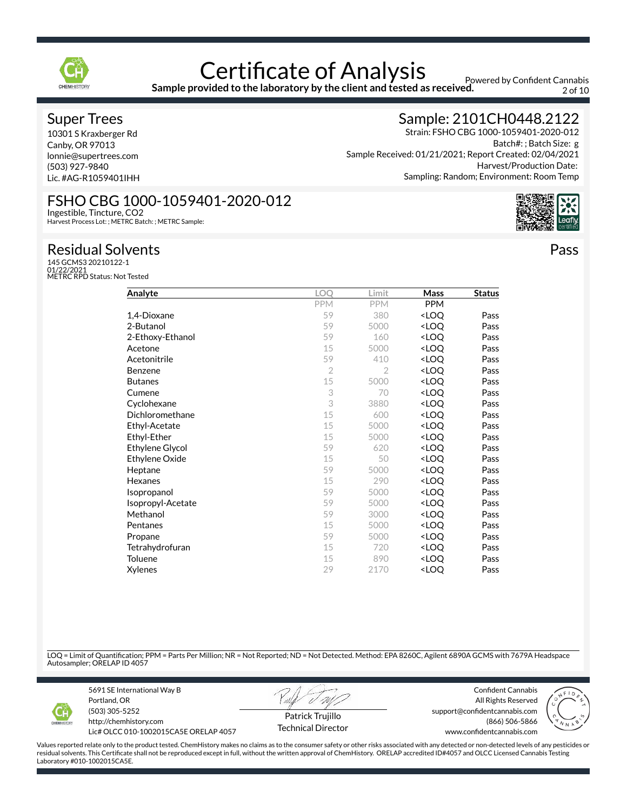

**Sample provided to the laboratory by the client and tested as received.**

Powered by Confident Cannabis 2 of 10

### Super Trees

10301 S Kraxberger Rd Canby, OR 97013 lonnie@supertrees.com (503) 927-9840 Lic. #AG-R1059401IHH

Ingestible, Tincture, CO2

## Sample: 2101CH0448.2122

Strain: FSHO CBG 1000-1059401-2020-012 Batch#: ; Batch Size: g Sample Received: 01/21/2021; Report Created: 02/04/2021 Harvest/Production Date: Sampling: Random; Environment: Room Temp

Pass

Harvest Process Lot: ; METRC Batch: ; METRC Sample:

FSHO CBG 1000-1059401-2020-012

Residual Solvents 145 GCMS3 20210122-1 01/22/2021 METRC RPD Status: Not Tested

| Analyte                | <b>LOO</b>     | Limit          | Mass                             | <b>Status</b> |
|------------------------|----------------|----------------|----------------------------------|---------------|
|                        | <b>PPM</b>     | <b>PPM</b>     | <b>PPM</b>                       |               |
| 1,4-Dioxane            | 59             | 380            | <loq< td=""><td>Pass</td></loq<> | Pass          |
| 2-Butanol              | 59             | 5000           | <loq< td=""><td>Pass</td></loq<> | Pass          |
| 2-Ethoxy-Ethanol       | 59             | 160            | <loq< td=""><td>Pass</td></loq<> | Pass          |
| Acetone                | 15             | 5000           | <loq< td=""><td>Pass</td></loq<> | Pass          |
| Acetonitrile           | 59             | 410            | <loq< td=""><td>Pass</td></loq<> | Pass          |
| <b>Benzene</b>         | $\overline{2}$ | $\overline{2}$ | <loq< td=""><td>Pass</td></loq<> | Pass          |
| <b>Butanes</b>         | 15             | 5000           | <loq< td=""><td>Pass</td></loq<> | Pass          |
| Cumene                 | 3              | 70             | <loq< td=""><td>Pass</td></loq<> | Pass          |
| Cyclohexane            | 3              | 3880           | <loq< td=""><td>Pass</td></loq<> | Pass          |
| Dichloromethane        | 15             | 600            | <loq< td=""><td>Pass</td></loq<> | Pass          |
| Ethyl-Acetate          | 15             | 5000           | <loq< td=""><td>Pass</td></loq<> | Pass          |
| Ethyl-Ether            | 15             | 5000           | <loq< td=""><td>Pass</td></loq<> | Pass          |
| <b>Ethylene Glycol</b> | 59             | 620            | <loq< td=""><td>Pass</td></loq<> | Pass          |
| Ethylene Oxide         | 15             | 50             | <loq< td=""><td>Pass</td></loq<> | Pass          |
| Heptane                | 59             | 5000           | <loq< td=""><td>Pass</td></loq<> | Pass          |
| Hexanes                | 15             | 290            | <loq< td=""><td>Pass</td></loq<> | Pass          |
| Isopropanol            | 59             | 5000           | <loq< td=""><td>Pass</td></loq<> | Pass          |
| Isopropyl-Acetate      | 59             | 5000           | <loq< td=""><td>Pass</td></loq<> | Pass          |
| Methanol               | 59             | 3000           | <loq< td=""><td>Pass</td></loq<> | Pass          |
| Pentanes               | 15             | 5000           | <loq< td=""><td>Pass</td></loq<> | Pass          |
| Propane                | 59             | 5000           | <loq< td=""><td>Pass</td></loq<> | Pass          |
| Tetrahydrofuran        | 15             | 720            | <loq< td=""><td>Pass</td></loq<> | Pass          |
| Toluene                | 15             | 890            | <loq< td=""><td>Pass</td></loq<> | Pass          |
| Xylenes                | 29             | 2170           | <loq< td=""><td>Pass</td></loq<> | Pass          |

LOQ = Limit of Quantification; PPM = Parts Per Million; NR = Not Reported; ND = Not Detected. Method: EPA 8260C, Agilent 6890A GCMS with 7679A Headspace Autosampler; ORELAP ID 4057



5691 SE International Way B Portland, OR (503) 305-5252 http://chemhistory.com

Lic# OLCC 010-1002015CA5E ORELAP 4057

Patrick Trujillo

Confident Cannabis All Rights Reserved support@confidentcannabis.com (866) 506-5866 www.confidentcannabis.com



Values reported relate only to the product tested. ChemHistory makes no claims as to the consumer safety or other risks associated with any detected or non-detected levels of any pesticides or residual solvents. This Certificate shall not be reproduced except in full, without the written approval of ChemHistory. ORELAP accredited ID#4057 and OLCC Licensed Cannabis Testing Laboratory #010-1002015CA5E.

Technical Director

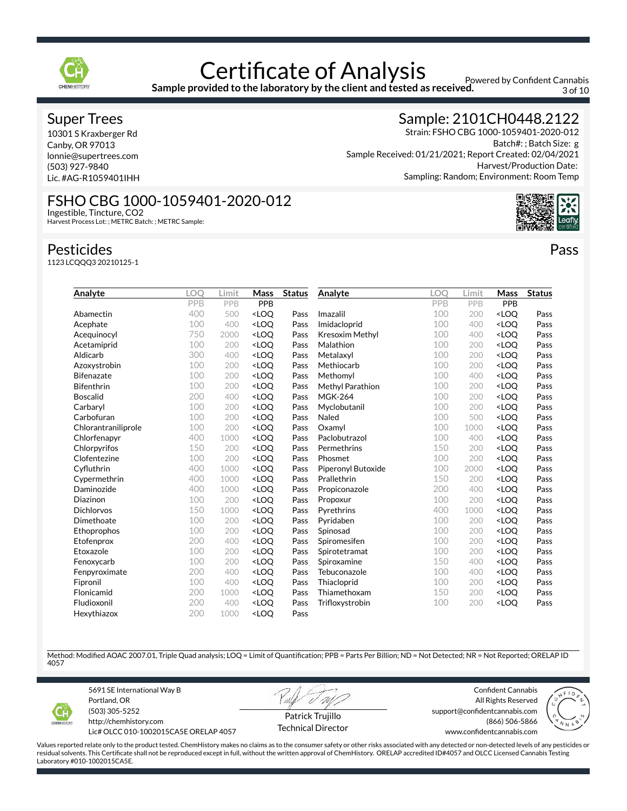

**Sample provided to the laboratory by the client and tested as received.**

Powered by Confident Cannabis 3 of 10

### Super Trees

10301 S Kraxberger Rd Canby, OR 97013 lonnie@supertrees.com (503) 927-9840 Lic. #AG-R1059401IHH

## Sample: 2101CH0448.2122

Strain: FSHO CBG 1000-1059401-2020-012 Batch#: ; Batch Size: g Sample Received: 01/21/2021; Report Created: 02/04/2021 Harvest/Production Date: Sampling: Random; Environment: Room Temp

Pass

#### FSHO CBG 1000-1059401-2020-012 Ingestible, Tincture, CO2

Harvest Process Lot: ; METRC Batch: ; METRC Sample:

### Pesticides

1123 LCQQQ3 20210125-1

| Analyte             | LOO | Limit | Mass                                                                                                                                 | <b>Status</b> | Analyte                   | LOO | Limit | Mass                             | <b>Status</b> |
|---------------------|-----|-------|--------------------------------------------------------------------------------------------------------------------------------------|---------------|---------------------------|-----|-------|----------------------------------|---------------|
|                     | PPB | PPB   | PPB                                                                                                                                  |               |                           | PPB | PPB   | PPB                              |               |
| Abamectin           | 400 | 500   | <loq< td=""><td>Pass</td><th>Imazalil</th><td>100</td><td>200</td><td><loq< td=""><td>Pass</td></loq<></td></loq<>                   | Pass          | Imazalil                  | 100 | 200   | <loq< td=""><td>Pass</td></loq<> | Pass          |
| Acephate            | 100 | 400   | <loq< td=""><td>Pass</td><th>Imidacloprid</th><td>100</td><td>400</td><td><loq< td=""><td>Pass</td></loq<></td></loq<>               | Pass          | Imidacloprid              | 100 | 400   | <loq< td=""><td>Pass</td></loq<> | Pass          |
| Acequinocyl         | 750 | 2000  | <loq< td=""><td>Pass</td><th>Kresoxim Methyl</th><td>100</td><td>400</td><td><loo< td=""><td>Pass</td></loo<></td></loq<>            | Pass          | Kresoxim Methyl           | 100 | 400   | <loo< td=""><td>Pass</td></loo<> | Pass          |
| Acetamiprid         | 100 | 200   | <loo< td=""><td>Pass</td><th>Malathion</th><td>100</td><td>200</td><td><loq< td=""><td>Pass</td></loq<></td></loo<>                  | Pass          | Malathion                 | 100 | 200   | <loq< td=""><td>Pass</td></loq<> | Pass          |
| Aldicarb            | 300 | 400   | <loq< td=""><td>Pass</td><th>Metalaxyl</th><td>100</td><td>200</td><td><loq< td=""><td>Pass</td></loq<></td></loq<>                  | Pass          | Metalaxyl                 | 100 | 200   | <loq< td=""><td>Pass</td></loq<> | Pass          |
| Azoxystrobin        | 100 | 200   | <loq< td=""><td>Pass</td><th>Methiocarb</th><td>100</td><td>200</td><td><loq< td=""><td>Pass</td></loq<></td></loq<>                 | Pass          | Methiocarb                | 100 | 200   | <loq< td=""><td>Pass</td></loq<> | Pass          |
| <b>Bifenazate</b>   | 100 | 200   | <loq< td=""><td>Pass</td><th>Methomyl</th><td>100</td><td>400</td><td><loq< td=""><td>Pass</td></loq<></td></loq<>                   | Pass          | Methomyl                  | 100 | 400   | <loq< td=""><td>Pass</td></loq<> | Pass          |
| <b>Bifenthrin</b>   | 100 | 200   | <loq< td=""><td>Pass</td><th>Methyl Parathion</th><td>100</td><td>200</td><td><loq< td=""><td>Pass</td></loq<></td></loq<>           | Pass          | Methyl Parathion          | 100 | 200   | <loq< td=""><td>Pass</td></loq<> | Pass          |
| <b>Boscalid</b>     | 200 | 400   | <loo< td=""><td>Pass</td><th><b>MGK-264</b></th><td>100</td><td>200</td><td><loo< td=""><td>Pass</td></loo<></td></loo<>             | Pass          | <b>MGK-264</b>            | 100 | 200   | <loo< td=""><td>Pass</td></loo<> | Pass          |
| Carbaryl            | 100 | 200   | <loo< td=""><td>Pass</td><th>Myclobutanil</th><td>100</td><td>200</td><td><loq< td=""><td>Pass</td></loq<></td></loo<>               | Pass          | Myclobutanil              | 100 | 200   | <loq< td=""><td>Pass</td></loq<> | Pass          |
| Carbofuran          | 100 | 200   | <loq< td=""><td>Pass</td><th>Naled</th><td>100</td><td>500</td><td><loq< td=""><td>Pass</td></loq<></td></loq<>                      | Pass          | Naled                     | 100 | 500   | <loq< td=""><td>Pass</td></loq<> | Pass          |
| Chlorantraniliprole | 100 | 200   | <loq< td=""><td>Pass</td><th>Oxamyl</th><td>100</td><td>1000</td><td><loq< td=""><td>Pass</td></loq<></td></loq<>                    | Pass          | Oxamyl                    | 100 | 1000  | <loq< td=""><td>Pass</td></loq<> | Pass          |
| Chlorfenapyr        | 400 | 1000  | <loo< td=""><td>Pass</td><th>Paclobutrazol</th><td>100</td><td>400</td><td><loq< td=""><td>Pass</td></loq<></td></loo<>              | Pass          | Paclobutrazol             | 100 | 400   | <loq< td=""><td>Pass</td></loq<> | Pass          |
| Chlorpyrifos        | 150 | 200   | <loq< td=""><td>Pass</td><th>Permethrins</th><td>150</td><td>200</td><td><loq< td=""><td>Pass</td></loq<></td></loq<>                | Pass          | Permethrins               | 150 | 200   | <loq< td=""><td>Pass</td></loq<> | Pass          |
| Clofentezine        | 100 | 200   | <loo< td=""><td>Pass</td><th>Phosmet</th><td>100</td><td>200</td><td><loq< td=""><td>Pass</td></loq<></td></loo<>                    | Pass          | Phosmet                   | 100 | 200   | <loq< td=""><td>Pass</td></loq<> | Pass          |
| Cyfluthrin          | 400 | 1000  | <loq< td=""><td>Pass</td><th><b>Piperonyl Butoxide</b></th><td>100</td><td>2000</td><td><loq< td=""><td>Pass</td></loq<></td></loq<> | Pass          | <b>Piperonyl Butoxide</b> | 100 | 2000  | <loq< td=""><td>Pass</td></loq<> | Pass          |
| Cypermethrin        | 400 | 1000  | <loq< td=""><td>Pass</td><th>Prallethrin</th><td>150</td><td>200</td><td><loq< td=""><td>Pass</td></loq<></td></loq<>                | Pass          | Prallethrin               | 150 | 200   | <loq< td=""><td>Pass</td></loq<> | Pass          |
| Daminozide          | 400 | 1000  | <loq< td=""><td>Pass</td><th>Propiconazole</th><td>200</td><td>400</td><td><loq< td=""><td>Pass</td></loq<></td></loq<>              | Pass          | Propiconazole             | 200 | 400   | <loq< td=""><td>Pass</td></loq<> | Pass          |
| Diazinon            | 100 | 200   | <loo< td=""><td>Pass</td><th>Propoxur</th><td>100</td><td>200</td><td><loq< td=""><td>Pass</td></loq<></td></loo<>                   | Pass          | Propoxur                  | 100 | 200   | <loq< td=""><td>Pass</td></loq<> | Pass          |
| <b>Dichlorvos</b>   | 150 | 1000  | <loq< td=""><td>Pass</td><th>Pyrethrins</th><td>400</td><td>1000</td><td><loq< td=""><td>Pass</td></loq<></td></loq<>                | Pass          | Pyrethrins                | 400 | 1000  | <loq< td=""><td>Pass</td></loq<> | Pass          |
| Dimethoate          | 100 | 200   | <loq< td=""><td>Pass</td><th>Pyridaben</th><td>100</td><td>200</td><td><loq< td=""><td>Pass</td></loq<></td></loq<>                  | Pass          | Pyridaben                 | 100 | 200   | <loq< td=""><td>Pass</td></loq<> | Pass          |
| Ethoprophos         | 100 | 200   | <loq< td=""><td>Pass</td><th>Spinosad</th><td>100</td><td>200</td><td><loq< td=""><td>Pass</td></loq<></td></loq<>                   | Pass          | Spinosad                  | 100 | 200   | <loq< td=""><td>Pass</td></loq<> | Pass          |
| Etofenprox          | 200 | 400   | <loq< td=""><td>Pass</td><th>Spiromesifen</th><td>100</td><td>200</td><td><loq< td=""><td>Pass</td></loq<></td></loq<>               | Pass          | Spiromesifen              | 100 | 200   | <loq< td=""><td>Pass</td></loq<> | Pass          |
| Etoxazole           | 100 | 200   | <loq< td=""><td>Pass</td><th>Spirotetramat</th><td>100</td><td>200</td><td><loq< td=""><td>Pass</td></loq<></td></loq<>              | Pass          | Spirotetramat             | 100 | 200   | <loq< td=""><td>Pass</td></loq<> | Pass          |
| Fenoxycarb          | 100 | 200   | <loq< td=""><td>Pass</td><th>Spiroxamine</th><td>150</td><td>400</td><td><loq< td=""><td>Pass</td></loq<></td></loq<>                | Pass          | Spiroxamine               | 150 | 400   | <loq< td=""><td>Pass</td></loq<> | Pass          |
| Fenpyroximate       | 200 | 400   | <loo< td=""><td>Pass</td><th>Tebuconazole</th><td>100</td><td>400</td><td><loo< td=""><td>Pass</td></loo<></td></loo<>               | Pass          | Tebuconazole              | 100 | 400   | <loo< td=""><td>Pass</td></loo<> | Pass          |
| Fipronil            | 100 | 400   | <loq< td=""><td>Pass</td><th>Thiacloprid</th><td>100</td><td>200</td><td><loq< td=""><td>Pass</td></loq<></td></loq<>                | Pass          | Thiacloprid               | 100 | 200   | <loq< td=""><td>Pass</td></loq<> | Pass          |
| Flonicamid          | 200 | 1000  | <loo< td=""><td>Pass</td><th>Thiamethoxam</th><td>150</td><td>200</td><td><loq< td=""><td>Pass</td></loq<></td></loo<>               | Pass          | Thiamethoxam              | 150 | 200   | <loq< td=""><td>Pass</td></loq<> | Pass          |
| Fludioxonil         | 200 | 400   | <loq< td=""><td>Pass</td><th>Trifloxystrobin</th><td>100</td><td>200</td><td><loq< td=""><td>Pass</td></loq<></td></loq<>            | Pass          | Trifloxystrobin           | 100 | 200   | <loq< td=""><td>Pass</td></loq<> | Pass          |
| Hexythiazox         | 200 | 1000  | <loq< td=""><td>Pass</td><th></th><td></td><td></td><td></td><td></td></loq<>                                                        | Pass          |                           |     |       |                                  |               |

Method: Modified AOAC 2007.01, Triple Quad analysis; LOQ = Limit of Quantification; PPB = Parts Per Billion; ND = Not Detected; NR = Not Reported; ORELAP ID 4057



5691 SE International Way B Portland, OR (503) 305-5252 http://chemhistory.com

Lic# OLCC 010-1002015CA5E ORELAP 4057

Patrick Trujillo Technical Director

Confident Cannabis All Rights Reserved support@confidentcannabis.com (866) 506-5866 www.confidentcannabis.com

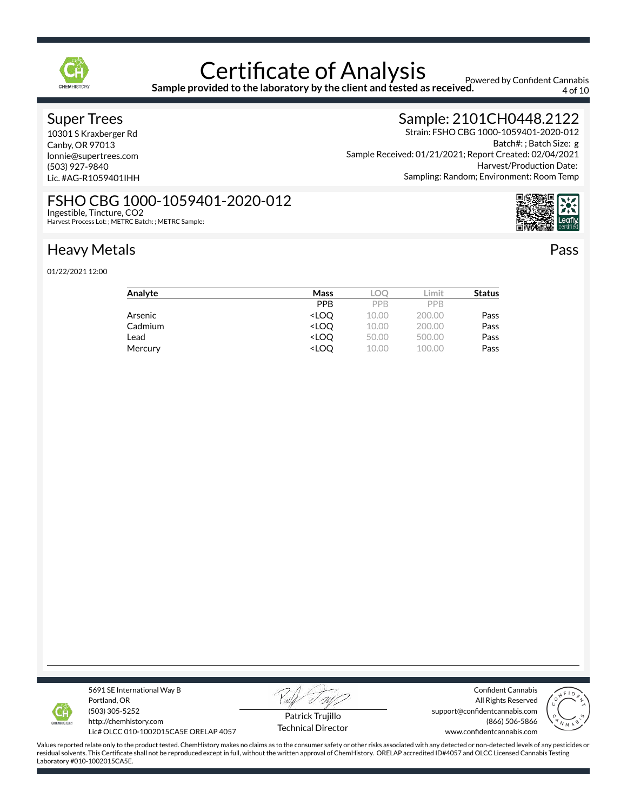

**Sample provided to the laboratory by the client and tested as received.**

Powered by Confident Cannabis 4 of 10

### Super Trees

10301 S Kraxberger Rd Canby, OR 97013 lonnie@supertrees.com (503) 927-9840 Lic. #AG-R1059401IHH

## Sample: 2101CH0448.2122

Strain: FSHO CBG 1000-1059401-2020-012 Batch#: ; Batch Size: g Sample Received: 01/21/2021; Report Created: 02/04/2021 Harvest/Production Date: Sampling: Random; Environment: Room Temp

Pass

FSHO CBG 1000-1059401-2020-012 Ingestible, Tincture, CO2

Harvest Process Lot: ; METRC Batch: ; METRC Sample:

# Heavy Metals

01/22/2021 12:00

| Analyte | Mass                                                          | LOC        | .imit      | <b>Status</b> |
|---------|---------------------------------------------------------------|------------|------------|---------------|
|         | <b>PPB</b>                                                    | <b>PPB</b> | <b>PPB</b> |               |
| Arsenic | <loo< td=""><td>10.00</td><td>200.00</td><td>Pass</td></loo<> | 10.00      | 200.00     | Pass          |
| Cadmium | <loo< td=""><td>10.00</td><td>200.00</td><td>Pass</td></loo<> | 10.00      | 200.00     | Pass          |
| Lead    | <loo< td=""><td>50.00</td><td>500.00</td><td>Pass</td></loo<> | 50.00      | 500.00     | Pass          |
| Mercury | <loo< td=""><td>10.00</td><td>100.00</td><td>Pass</td></loo<> | 10.00      | 100.00     | Pass          |
|         |                                                               |            |            |               |



5691 SE International Way B Portland, OR (503) 305-5252

http://chemhistory.com Lic# OLCC 010-1002015CA5E ORELAP 4057

Patrick Trujillo Technical Director

Confident Cannabis All Rights Reserved support@confidentcannabis.com (866) 506-5866 www.confidentcannabis.com

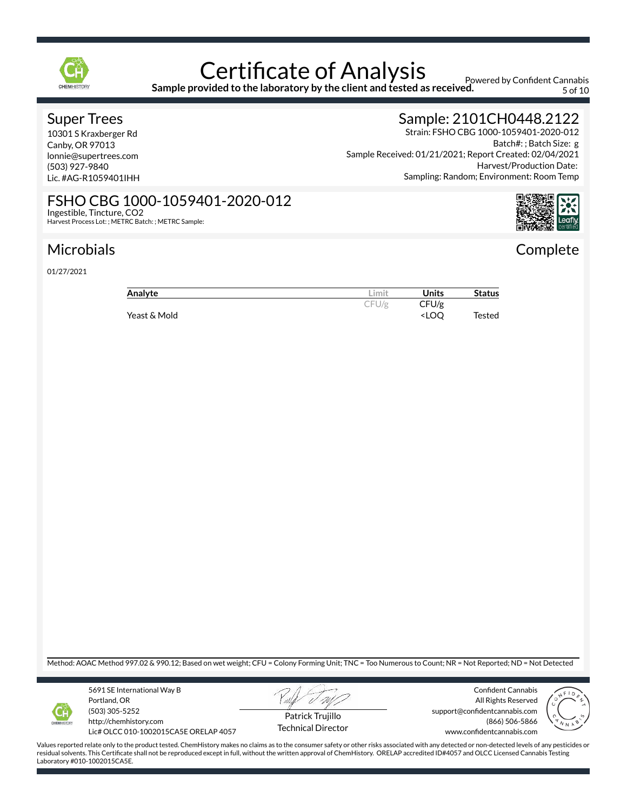

**Sample provided to the laboratory by the client and tested as received.**

Powered by Confident Cannabis 5 of 10

### Super Trees

10301 S Kraxberger Rd Canby, OR 97013 lonnie@supertrees.com (503) 927-9840 Lic. #AG-R1059401IHH

Ingestible, Tincture, CO2

Harvest Process Lot: ; METRC Batch: ; METRC Sample:

FSHO CBG 1000-1059401-2020-012

## Sample: 2101CH0448.2122

Strain: FSHO CBG 1000-1059401-2020-012 Batch#: ; Batch Size: g Sample Received: 01/21/2021; Report Created: 02/04/2021 Harvest/Production Date: Sampling: Random; Environment: Room Temp

# **Complete**

## Microbials

01/27/2021

| Analyte      | ∟imit. | <b>Units</b>                       | <b>Status</b> |
|--------------|--------|------------------------------------|---------------|
|              | CFU/g  | CFU/g                              |               |
| Yeast & Mold |        | <loo< td=""><td>Tested</td></loo<> | Tested        |

Method: AOAC Method 997.02 & 990.12; Based on wet weight; CFU = Colony Forming Unit; TNC = Too Numerous to Count; NR = Not Reported; ND = Not Detected



5691 SE International Way B Portland, OR (503) 305-5252 http://chemhistory.com

Lic# OLCC 010-1002015CA5E ORELAP 4057



Confident Cannabis All Rights Reserved





Patrick Trujillo Technical Director support@confidentcannabis.com (866) 506-5866 www.confidentcannabis.com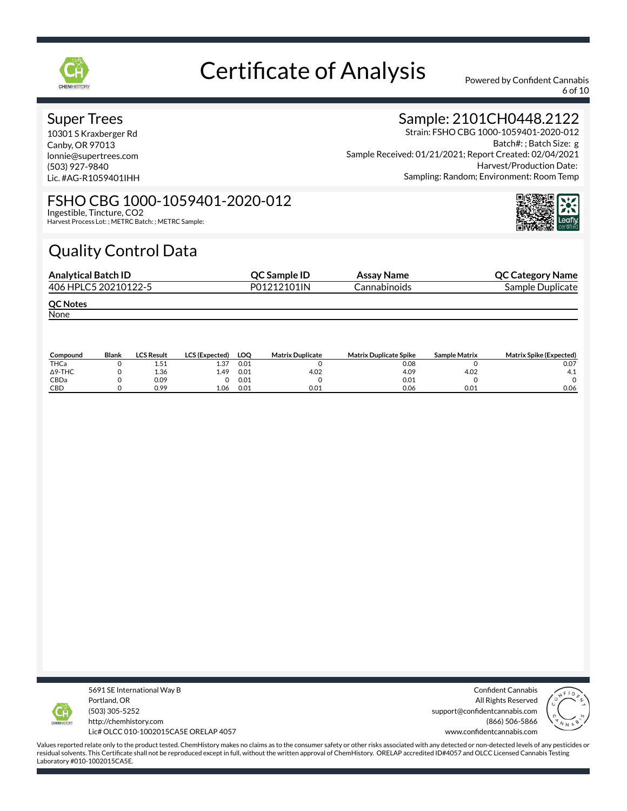

6 of 10

### Super Trees

10301 S Kraxberger Rd Canby, OR 97013 lonnie@supertrees.com (503) 927-9840 Lic. #AG-R1059401IHH

## Sample: 2101CH0448.2122

Strain: FSHO CBG 1000-1059401-2020-012 Batch#: ; Batch Size: g Sample Received: 01/21/2021; Report Created: 02/04/2021 Harvest/Production Date: Sampling: Random; Environment: Room Temp

#### FSHO CBG 1000-1059401-2020-012 Ingestible, Tincture, CO2

Harvest Process Lot: ; METRC Batch: ; METRC Sample:

# Quality Control Data

| <b>OC Sample ID</b> | Assay Name   | <b>QC Category Name</b> |
|---------------------|--------------|-------------------------|
| P01212101IN         | Cannabinoids | Sample Duplicate        |
|                     |              |                         |
|                     |              |                         |
|                     |              |                         |

| Compound       | Blank | LCS Result | <b>LCS (Expected)</b> | LOO  | <b>Matrix Duplicate</b> | <b>Matrix Duplicate Spike</b> | <b>Sample Matrix</b> | <b>Matrix Spike (Expected)</b> |
|----------------|-------|------------|-----------------------|------|-------------------------|-------------------------------|----------------------|--------------------------------|
| THCa           |       | 1.51       | 1.37                  | 0.01 |                         | 0.08                          |                      | 0.07                           |
| $\Delta$ 9-THC |       | 1.36       | 1.49                  | 0.01 | 4.02                    | 4.09                          | 4.02                 | 4.1                            |
| CBDa           |       | 0.09       |                       | 0.01 |                         | 0.01                          |                      |                                |
| CBD            |       | 0.99       | 1.06                  | 0.01 | 0.01                    | 0.06                          | 0.01                 | 0.06                           |



5691 SE International Way B Portland, OR (503) 305-5252 http://chemhistory.com Lic# OLCC 010-1002015CA5E ORELAP 4057

Confident Cannabis All Rights Reserved support@confidentcannabis.com (866) 506-5866 www.confidentcannabis.com

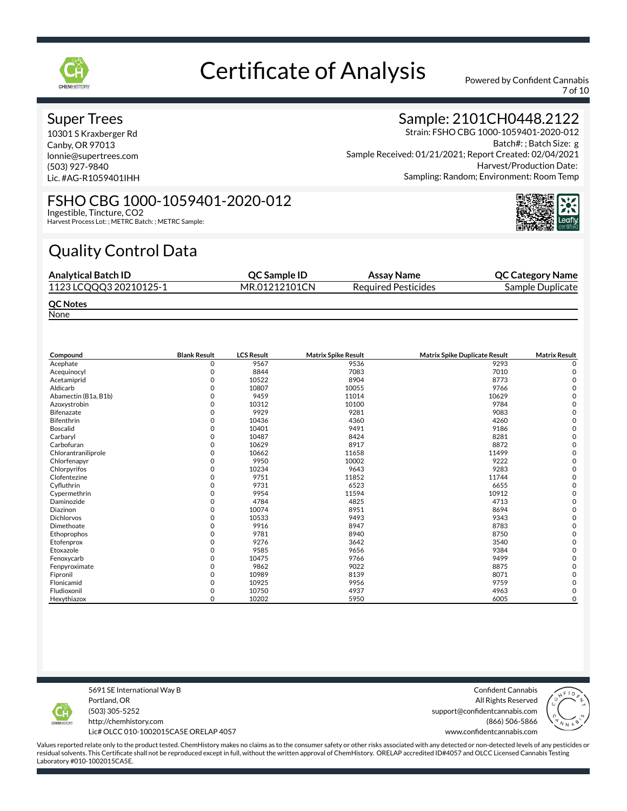

7 of 10

### Super Trees

10301 S Kraxberger Rd Canby, OR 97013 lonnie@supertrees.com (503) 927-9840 Lic. #AG-R1059401IHH

## Sample: 2101CH0448.2122

Strain: FSHO CBG 1000-1059401-2020-012 Batch#: ; Batch Size: g Sample Received: 01/21/2021; Report Created: 02/04/2021 Harvest/Production Date: Sampling: Random; Environment: Room Temp

#### FSHO CBG 1000-1059401-2020-012 Ingestible, Tincture, CO2

Harvest Process Lot: ; METRC Batch: ; METRC Sample:

# Quality Control Data

| <b>Analytical Batch ID</b> | <b>OC Sample ID</b> | Assay Name                 | <b>QC Category Name</b> |
|----------------------------|---------------------|----------------------------|-------------------------|
| 1123 LCQQQ3 20210125-1     | MR.01212101CN       | <b>Required Pesticides</b> | Sample Duplicate        |
| <b>QC Notes</b>            |                     |                            |                         |

None

| Compound             | <b>Blank Result</b> | <b>LCS Result</b> | <b>Matrix Spike Result</b> | <b>Matrix Spike Duplicate Result</b> | <b>Matrix Result</b> |
|----------------------|---------------------|-------------------|----------------------------|--------------------------------------|----------------------|
| Acephate             | $\Omega$            | 9567              | 9536                       | 9293                                 | O                    |
| Acequinocyl          | O                   | 8844              | 7083                       | 7010                                 | C                    |
| Acetamiprid          | O                   | 10522             | 8904                       | 8773                                 |                      |
| Aldicarb             |                     | 10807             | 10055                      | 9766                                 |                      |
| Abamectin (B1a, B1b) |                     | 9459              | 11014                      | 10629                                |                      |
| Azoxystrobin         | ∩                   | 10312             | 10100                      | 9784                                 |                      |
| <b>Bifenazate</b>    |                     | 9929              | 9281                       | 9083                                 |                      |
| Bifenthrin           | O                   | 10436             | 4360                       | 4260                                 |                      |
| <b>Boscalid</b>      |                     | 10401             | 9491                       | 9186                                 |                      |
| Carbaryl             |                     | 10487             | 8424                       | 8281                                 |                      |
| Carbofuran           | O                   | 10629             | 8917                       | 8872                                 |                      |
| Chlorantraniliprole  |                     | 10662             | 11658                      | 11499                                |                      |
| Chlorfenapyr         | O                   | 9950              | 10002                      | 9222                                 |                      |
| Chlorpyrifos         |                     | 10234             | 9643                       | 9283                                 |                      |
| Clofentezine         |                     | 9751              | 11852                      | 11744                                |                      |
| Cyfluthrin           |                     | 9731              | 6523                       | 6655                                 |                      |
| Cypermethrin         |                     | 9954              | 11594                      | 10912                                |                      |
| Daminozide           | O                   | 4784              | 4825                       | 4713                                 |                      |
| Diazinon             |                     | 10074             | 8951                       | 8694                                 |                      |
| <b>Dichlorvos</b>    | O                   | 10533             | 9493                       | 9343                                 |                      |
| Dimethoate           |                     | 9916              | 8947                       | 8783                                 |                      |
| Ethoprophos          |                     | 9781              | 8940                       | 8750                                 |                      |
| Etofenprox           | O                   | 9276              | 3642                       | 3540                                 |                      |
| Etoxazole            |                     | 9585              | 9656                       | 9384                                 |                      |
| Fenoxycarb           |                     | 10475             | 9766                       | 9499                                 |                      |
| Fenpyroximate        |                     | 9862              | 9022                       | 8875                                 |                      |
| Fipronil             |                     | 10989             | 8139                       | 8071                                 |                      |
| Flonicamid           | 0                   | 10925             | 9956                       | 9759                                 |                      |
| Fludioxonil          | 0                   | 10750             | 4937                       | 4963                                 | C                    |
| Hexythiazox          | $\Omega$            | 10202             | 5950                       | 6005                                 | $\mathbf 0$          |

5691 SE International Way B Portland, OR (503) 305-5252

http://chemhistory.com Lic# OLCC 010-1002015CA5E ORELAP 4057

Confident Cannabis All Rights Reserved support@confidentcannabis.com (866) 506-5866

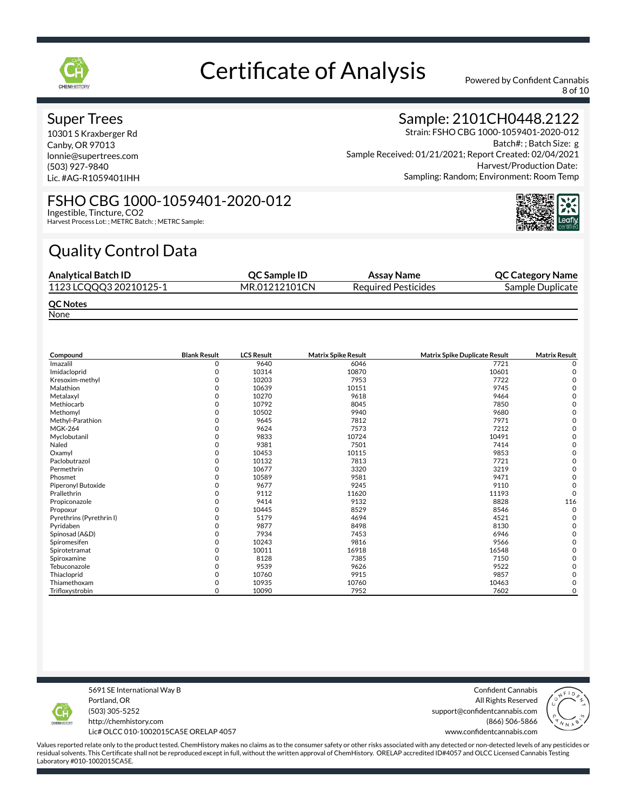

8 of 10

### Super Trees

10301 S Kraxberger Rd Canby, OR 97013 lonnie@supertrees.com (503) 927-9840 Lic. #AG-R1059401IHH

## Sample: 2101CH0448.2122

Strain: FSHO CBG 1000-1059401-2020-012 Batch#: ; Batch Size: g Sample Received: 01/21/2021; Report Created: 02/04/2021 Harvest/Production Date: Sampling: Random; Environment: Room Temp

#### FSHO CBG 1000-1059401-2020-012 Ingestible, Tincture, CO2

Harvest Process Lot: ; METRC Batch: ; METRC Sample:

# Quality Control Data

| <b>Analytical Batch ID</b> | <b>OC Sample ID</b> | Assay Name                 | <b>QC Category Name</b> |
|----------------------------|---------------------|----------------------------|-------------------------|
| 1123 LCQQQ3 20210125-1     | MR.01212101CN       | <b>Required Pesticides</b> | Sample Duplicate        |
| <b>QC Notes</b>            |                     |                            |                         |

None

| Compound                 | <b>Blank Result</b> | <b>LCS Result</b> | <b>Matrix Spike Result</b> | Matrix Spike Duplicate Result | <b>Matrix Result</b> |
|--------------------------|---------------------|-------------------|----------------------------|-------------------------------|----------------------|
| Imazalil                 | $\Omega$            | 9640              | 6046                       | 7721                          |                      |
| Imidacloprid             | O                   | 10314             | 10870                      | 10601                         |                      |
| Kresoxim-methyl          |                     | 10203             | 7953                       | 7722                          |                      |
| Malathion                |                     | 10639             | 10151                      | 9745                          |                      |
| Metalaxyl                |                     | 10270             | 9618                       | 9464                          |                      |
| Methiocarb               |                     | 10792             | 8045                       | 7850                          |                      |
| Methomyl                 |                     | 10502             | 9940                       | 9680                          |                      |
| Methyl-Parathion         |                     | 9645              | 7812                       | 7971                          |                      |
| <b>MGK-264</b>           |                     | 9624              | 7573                       | 7212                          |                      |
| Myclobutanil             |                     | 9833              | 10724                      | 10491                         |                      |
| Naled                    | U                   | 9381              | 7501                       | 7414                          |                      |
| Oxamyl                   |                     | 10453             | 10115                      | 9853                          |                      |
| Paclobutrazol            |                     | 10132             | 7813                       | 7721                          |                      |
| Permethrin               |                     | 10677             | 3320                       | 3219                          |                      |
| Phosmet                  |                     | 10589             | 9581                       | 9471                          |                      |
| Piperonyl Butoxide       |                     | 9677              | 9245                       | 9110                          |                      |
| Prallethrin              | O                   | 9112              | 11620                      | 11193                         | $\Omega$             |
| Propiconazole            | 0                   | 9414              | 9132                       | 8828                          | 116                  |
| Propoxur                 | <sup>0</sup>        | 10445             | 8529                       | 8546                          | $\Omega$             |
| Pyrethrins (Pyrethrin I) |                     | 5179              | 4694                       | 4521                          |                      |
| Pyridaben                | U                   | 9877              | 8498                       | 8130                          |                      |
| Spinosad (A&D)           |                     | 7934              | 7453                       | 6946                          |                      |
| Spiromesifen             | <sup>0</sup>        | 10243             | 9816                       | 9566                          |                      |
| Spirotetramat            |                     | 10011             | 16918                      | 16548                         |                      |
| Spiroxamine              | <sup>0</sup>        | 8128              | 7385                       | 7150                          |                      |
| Tebuconazole             |                     | 9539              | 9626                       | 9522                          |                      |
| Thiacloprid              | <sup>0</sup>        | 10760             | 9915                       | 9857                          |                      |
| Thiamethoxam             | 0                   | 10935             | 10760                      | 10463                         |                      |
| Trifloxystrobin          | $\Omega$            | 10090             | 7952                       | 7602                          | 0                    |

5691 SE International Way B Portland, OR (503) 305-5252

http://chemhistory.com Lic# OLCC 010-1002015CA5E ORELAP 4057

Confident Cannabis All Rights Reserved support@confidentcannabis.com (866) 506-5866

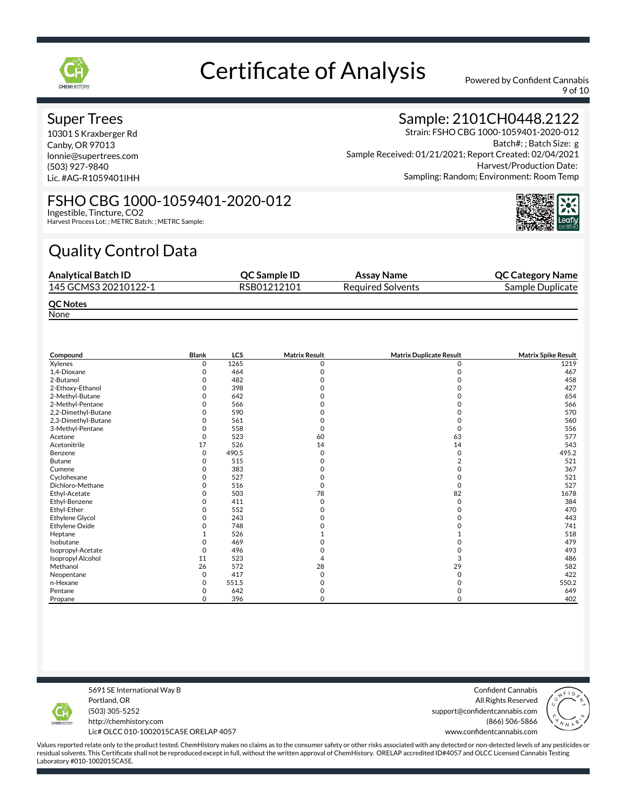

9 of 10

### Super Trees

10301 S Kraxberger Rd Canby, OR 97013 lonnie@supertrees.com (503) 927-9840 Lic. #AG-R1059401IHH

## Sample: 2101CH0448.2122

Strain: FSHO CBG 1000-1059401-2020-012 Batch#: ; Batch Size: g Sample Received: 01/21/2021; Report Created: 02/04/2021 Harvest/Production Date: Sampling: Random; Environment: Room Temp

#### FSHO CBG 1000-1059401-2020-012 Ingestible, Tincture, CO2

Harvest Process Lot: ; METRC Batch: ; METRC Sample:

# Quality Control Data

| <b>Analytical Batch ID</b> | <b>OC Sample ID</b> | Assay Name               | <b>QC Category Name</b> |
|----------------------------|---------------------|--------------------------|-------------------------|
| 145 GCMS3 20210122-1       | RSB01212101         | <b>Required Solvents</b> | Sample Duplicate        |
| <b>QC Notes</b>            |                     |                          |                         |

None

| Compound            | Blank | <b>LCS</b> | <b>Matrix Result</b> | <b>Matrix Duplicate Result</b> | <b>Matrix Spike Result</b> |
|---------------------|-------|------------|----------------------|--------------------------------|----------------------------|
| Xylenes             | 0     | 1265       | n                    |                                | 1219                       |
| 1,4-Dioxane         |       | 464        |                      |                                | 467                        |
| 2-Butanol           | O     | 482        |                      |                                | 458                        |
| 2-Ethoxy-Ethanol    |       | 398        |                      |                                | 427                        |
| 2-Methyl-Butane     | ი     | 642        |                      |                                | 654                        |
| 2-Methyl-Pentane    | 0     | 566        |                      |                                | 566                        |
| 2,2-Dimethyl-Butane |       | 590        |                      |                                | 570                        |
| 2,3-Dimethyl-Butane | O     | 561        |                      |                                | 560                        |
| 3-Methyl-Pentane    |       | 558        |                      |                                | 556                        |
| Acetone             | 0     | 523        | 60                   | 63                             | 577                        |
| Acetonitrile        | 17    | 526        | 14                   | 14                             | 543                        |
| Benzene             | 0     | 490.5      | O                    | 0                              | 495.2                      |
| <b>Butane</b>       | 0     | 515        |                      |                                | 521                        |
| Cumene              | 0     | 383        |                      |                                | 367                        |
| Cyclohexane         | ი     | 527        |                      |                                | 521                        |
| Dichloro-Methane    |       | 516        |                      | 0                              | 527                        |
| Ethyl-Acetate       |       | 503        | 78                   | 82                             | 1678                       |
| Ethyl-Benzene       | O     | 411        | O                    | $\Omega$                       | 384                        |
| Ethyl-Ether         | 0     | 552        |                      |                                | 470                        |
| Ethylene Glycol     | 0     | 243        |                      |                                | 443                        |
| Ethylene Oxide      |       | 748        |                      |                                | 741                        |
| Heptane             |       | 526        |                      |                                | 518                        |
| Isobutane           |       | 469        |                      |                                | 479                        |
| Isopropyl-Acetate   |       | 496        |                      |                                | 493                        |
| Isopropyl Alcohol   | 11    | 523        |                      | 3                              | 486                        |
| Methanol            | 26    | 572        | 28                   | 29                             | 582                        |
| Neopentane          | 0     | 417        | O                    |                                | 422                        |
| n-Hexane            | 0     | 551.5      |                      |                                | 550.2                      |
| Pentane             | 0     | 642        |                      |                                | 649                        |
| Propane             | 0     | 396        | 0                    | 0                              | 402                        |

5691 SE International Way B Portland, OR (503) 305-5252

Confident Cannabis All Rights Reserved support@confidentcannabis.com (866) 506-5866



http://chemhistory.com Lic# OLCC 010-1002015CA5E ORELAP 4057